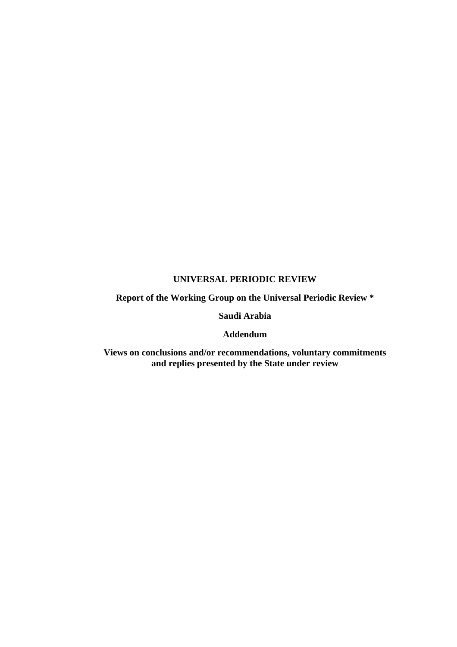#### **UNIVERSAL PERIODIC REVIEW**

# **Report of the Working Group on the Universal Periodic Review \***

#### **Saudi Arabia**

#### **Addendum**

**Views on conclusions and/or recommendations, voluntary commitments and replies presented by the State under review**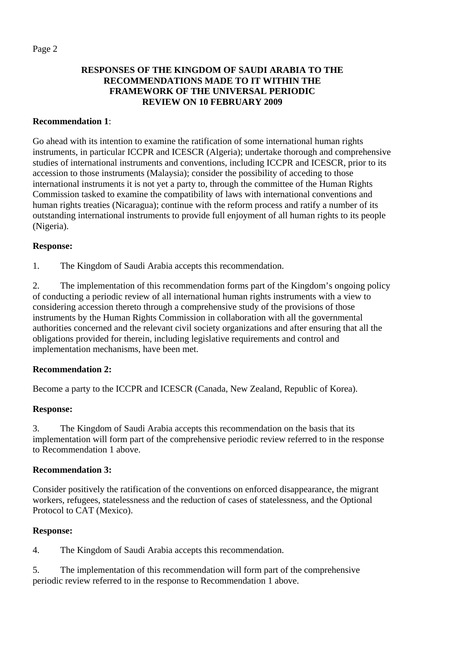# **RESPONSES OF THE KINGDOM OF SAUDI ARABIA TO THE RECOMMENDATIONS MADE TO IT WITHIN THE FRAMEWORK OF THE UNIVERSAL PERIODIC REVIEW ON 10 FEBRUARY 2009**

## **Recommendation 1**:

Go ahead with its intention to examine the ratification of some international human rights instruments, in particular ICCPR and ICESCR (Algeria); undertake thorough and comprehensive studies of international instruments and conventions, including ICCPR and ICESCR, prior to its accession to those instruments (Malaysia); consider the possibility of acceding to those international instruments it is not yet a party to, through the committee of the Human Rights Commission tasked to examine the compatibility of laws with international conventions and human rights treaties (Nicaragua); continue with the reform process and ratify a number of its outstanding international instruments to provide full enjoyment of all human rights to its people (Nigeria).

## **Response:**

1. The Kingdom of Saudi Arabia accepts this recommendation.

2. The implementation of this recommendation forms part of the Kingdom's ongoing policy of conducting a periodic review of all international human rights instruments with a view to considering accession thereto through a comprehensive study of the provisions of those instruments by the Human Rights Commission in collaboration with all the governmental authorities concerned and the relevant civil society organizations and after ensuring that all the obligations provided for therein, including legislative requirements and control and implementation mechanisms, have been met.

# **Recommendation 2:**

Become a party to the ICCPR and ICESCR (Canada, New Zealand, Republic of Korea).

## **Response:**

3. The Kingdom of Saudi Arabia accepts this recommendation on the basis that its implementation will form part of the comprehensive periodic review referred to in the response to Recommendation 1 above.

## **Recommendation 3:**

Consider positively the ratification of the conventions on enforced disappearance, the migrant workers, refugees, statelessness and the reduction of cases of statelessness, and the Optional Protocol to CAT (Mexico).

## **Response:**

4. The Kingdom of Saudi Arabia accepts this recommendation.

5. The implementation of this recommendation will form part of the comprehensive periodic review referred to in the response to Recommendation 1 above.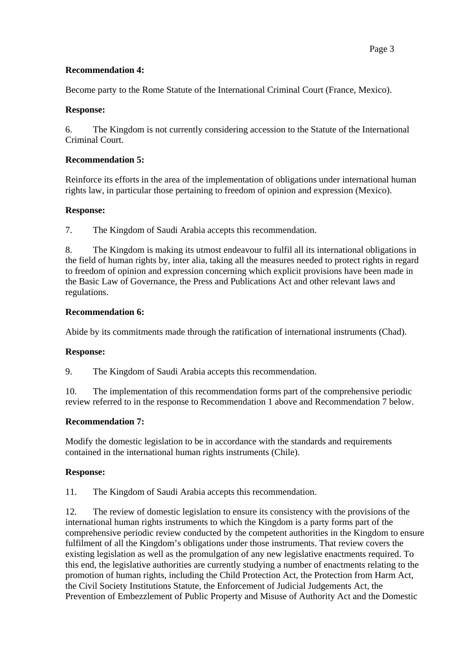## **Recommendation 4:**

Become party to the Rome Statute of the International Criminal Court (France, Mexico).

## **Response:**

6. The Kingdom is not currently considering accession to the Statute of the International Criminal Court.

# **Recommendation 5:**

Reinforce its efforts in the area of the implementation of obligations under international human rights law, in particular those pertaining to freedom of opinion and expression (Mexico).

## **Response:**

7. The Kingdom of Saudi Arabia accepts this recommendation.

8. The Kingdom is making its utmost endeavour to fulfil all its international obligations in the field of human rights by, inter alia, taking all the measures needed to protect rights in regard to freedom of opinion and expression concerning which explicit provisions have been made in the Basic Law of Governance, the Press and Publications Act and other relevant laws and regulations.

## **Recommendation 6:**

Abide by its commitments made through the ratification of international instruments (Chad).

## **Response:**

9. The Kingdom of Saudi Arabia accepts this recommendation.

10. The implementation of this recommendation forms part of the comprehensive periodic review referred to in the response to Recommendation 1 above and Recommendation 7 below.

## **Recommendation 7:**

Modify the domestic legislation to be in accordance with the standards and requirements contained in the international human rights instruments (Chile).

## **Response:**

11. The Kingdom of Saudi Arabia accepts this recommendation.

12. The review of domestic legislation to ensure its consistency with the provisions of the international human rights instruments to which the Kingdom is a party forms part of the comprehensive periodic review conducted by the competent authorities in the Kingdom to ensure fulfilment of all the Kingdom's obligations under those instruments. That review covers the existing legislation as well as the promulgation of any new legislative enactments required. To this end, the legislative authorities are currently studying a number of enactments relating to the promotion of human rights, including the Child Protection Act, the Protection from Harm Act, the Civil Society Institutions Statute, the Enforcement of Judicial Judgements Act, the Prevention of Embezzlement of Public Property and Misuse of Authority Act and the Domestic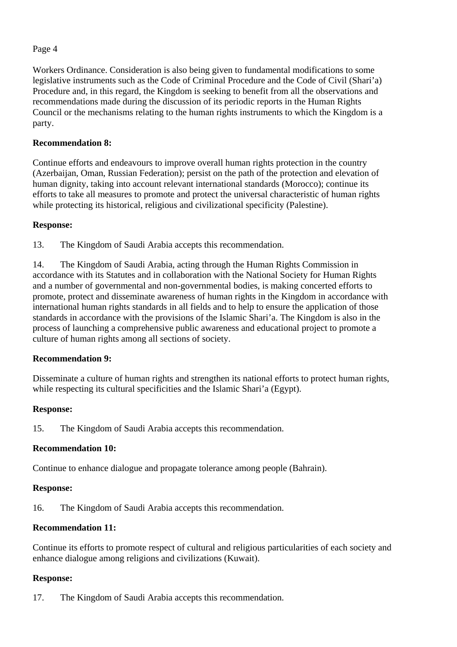Workers Ordinance. Consideration is also being given to fundamental modifications to some legislative instruments such as the Code of Criminal Procedure and the Code of Civil (Shari'a) Procedure and, in this regard, the Kingdom is seeking to benefit from all the observations and recommendations made during the discussion of its periodic reports in the Human Rights Council or the mechanisms relating to the human rights instruments to which the Kingdom is a party.

## **Recommendation 8:**

Continue efforts and endeavours to improve overall human rights protection in the country (Azerbaijan, Oman, Russian Federation); persist on the path of the protection and elevation of human dignity, taking into account relevant international standards (Morocco); continue its efforts to take all measures to promote and protect the universal characteristic of human rights while protecting its historical, religious and civilizational specificity (Palestine).

### **Response:**

13. The Kingdom of Saudi Arabia accepts this recommendation.

14. The Kingdom of Saudi Arabia, acting through the Human Rights Commission in accordance with its Statutes and in collaboration with the National Society for Human Rights and a number of governmental and non-governmental bodies, is making concerted efforts to promote, protect and disseminate awareness of human rights in the Kingdom in accordance with international human rights standards in all fields and to help to ensure the application of those standards in accordance with the provisions of the Islamic Shari'a. The Kingdom is also in the process of launching a comprehensive public awareness and educational project to promote a culture of human rights among all sections of society.

## **Recommendation 9:**

Disseminate a culture of human rights and strengthen its national efforts to protect human rights, while respecting its cultural specificities and the Islamic Shari'a (Egypt).

### **Response:**

15. The Kingdom of Saudi Arabia accepts this recommendation.

## **Recommendation 10:**

Continue to enhance dialogue and propagate tolerance among people (Bahrain).

### **Response:**

16. The Kingdom of Saudi Arabia accepts this recommendation.

## **Recommendation 11:**

Continue its efforts to promote respect of cultural and religious particularities of each society and enhance dialogue among religions and civilizations (Kuwait).

### **Response:**

17. The Kingdom of Saudi Arabia accepts this recommendation.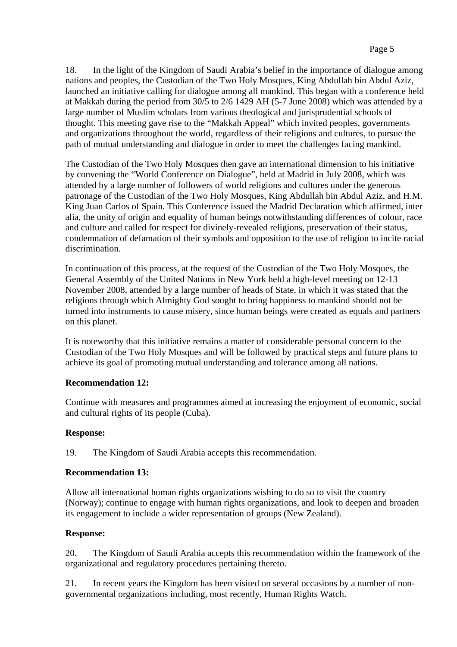18. In the light of the Kingdom of Saudi Arabia's belief in the importance of dialogue among nations and peoples, the Custodian of the Two Holy Mosques, King Abdullah bin Abdul Aziz, launched an initiative calling for dialogue among all mankind. This began with a conference held at Makkah during the period from 30/5 to 2/6 1429 AH (5-7 June 2008) which was attended by a large number of Muslim scholars from various theological and jurisprudential schools of thought. This meeting gave rise to the "Makkah Appeal" which invited peoples, governments and organizations throughout the world, regardless of their religions and cultures, to pursue the path of mutual understanding and dialogue in order to meet the challenges facing mankind.

The Custodian of the Two Holy Mosques then gave an international dimension to his initiative by convening the "World Conference on Dialogue", held at Madrid in July 2008, which was attended by a large number of followers of world religions and cultures under the generous patronage of the Custodian of the Two Holy Mosques, King Abdullah bin Abdul Aziz, and H.M. King Juan Carlos of Spain. This Conference issued the Madrid Declaration which affirmed, inter alia, the unity of origin and equality of human beings notwithstanding differences of colour, race and culture and called for respect for divinely-revealed religions, preservation of their status, condemnation of defamation of their symbols and opposition to the use of religion to incite racial discrimination.

In continuation of this process, at the request of the Custodian of the Two Holy Mosques, the General Assembly of the United Nations in New York held a high-level meeting on 12-13 November 2008, attended by a large number of heads of State, in which it was stated that the religions through which Almighty God sought to bring happiness to mankind should not be turned into instruments to cause misery, since human beings were created as equals and partners on this planet.

It is noteworthy that this initiative remains a matter of considerable personal concern to the Custodian of the Two Holy Mosques and will be followed by practical steps and future plans to achieve its goal of promoting mutual understanding and tolerance among all nations.

## **Recommendation 12:**

Continue with measures and programmes aimed at increasing the enjoyment of economic, social and cultural rights of its people (Cuba).

## **Response:**

19. The Kingdom of Saudi Arabia accepts this recommendation.

## **Recommendation 13:**

Allow all international human rights organizations wishing to do so to visit the country (Norway); continue to engage with human rights organizations, and look to deepen and broaden its engagement to include a wider representation of groups (New Zealand).

## **Response:**

20. The Kingdom of Saudi Arabia accepts this recommendation within the framework of the organizational and regulatory procedures pertaining thereto.

21. In recent years the Kingdom has been visited on several occasions by a number of nongovernmental organizations including, most recently, Human Rights Watch.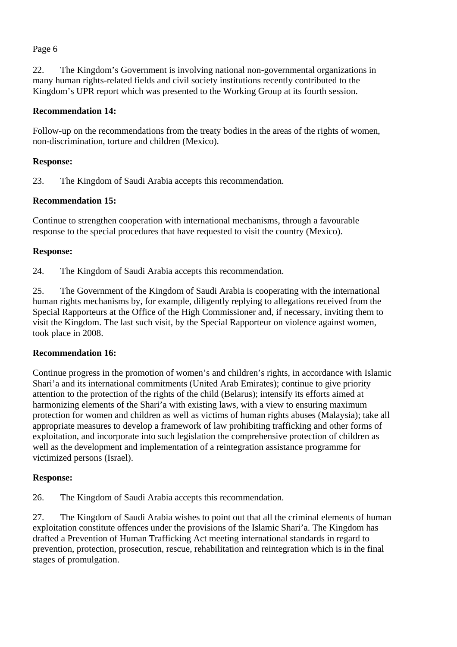22. The Kingdom's Government is involving national non-governmental organizations in many human rights-related fields and civil society institutions recently contributed to the Kingdom's UPR report which was presented to the Working Group at its fourth session.

### **Recommendation 14:**

Follow-up on the recommendations from the treaty bodies in the areas of the rights of women, non-discrimination, torture and children (Mexico).

## **Response:**

23. The Kingdom of Saudi Arabia accepts this recommendation.

### **Recommendation 15:**

Continue to strengthen cooperation with international mechanisms, through a favourable response to the special procedures that have requested to visit the country (Mexico).

### **Response:**

24. The Kingdom of Saudi Arabia accepts this recommendation.

25. The Government of the Kingdom of Saudi Arabia is cooperating with the international human rights mechanisms by, for example, diligently replying to allegations received from the Special Rapporteurs at the Office of the High Commissioner and, if necessary, inviting them to visit the Kingdom. The last such visit, by the Special Rapporteur on violence against women, took place in 2008.

## **Recommendation 16:**

Continue progress in the promotion of women's and children's rights, in accordance with Islamic Shari'a and its international commitments (United Arab Emirates); continue to give priority attention to the protection of the rights of the child (Belarus); intensify its efforts aimed at harmonizing elements of the Shari'a with existing laws, with a view to ensuring maximum protection for women and children as well as victims of human rights abuses (Malaysia); take all appropriate measures to develop a framework of law prohibiting trafficking and other forms of exploitation, and incorporate into such legislation the comprehensive protection of children as well as the development and implementation of a reintegration assistance programme for victimized persons (Israel).

### **Response:**

26. The Kingdom of Saudi Arabia accepts this recommendation.

27. The Kingdom of Saudi Arabia wishes to point out that all the criminal elements of human exploitation constitute offences under the provisions of the Islamic Shari'a. The Kingdom has drafted a Prevention of Human Trafficking Act meeting international standards in regard to prevention, protection, prosecution, rescue, rehabilitation and reintegration which is in the final stages of promulgation.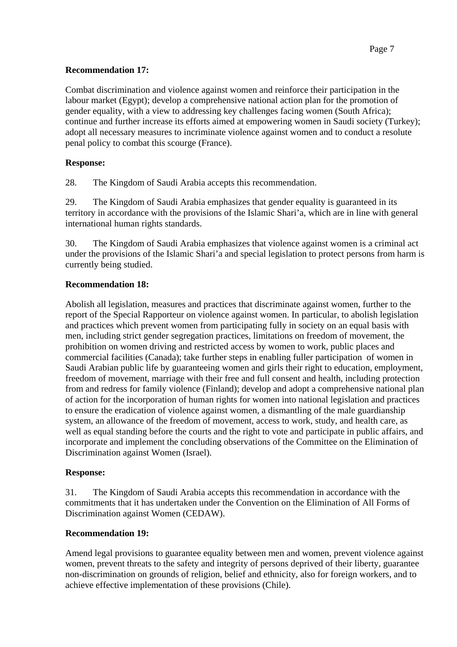## **Recommendation 17:**

Combat discrimination and violence against women and reinforce their participation in the labour market (Egypt); develop a comprehensive national action plan for the promotion of gender equality, with a view to addressing key challenges facing women (South Africa); continue and further increase its efforts aimed at empowering women in Saudi society (Turkey); adopt all necessary measures to incriminate violence against women and to conduct a resolute penal policy to combat this scourge (France).

# **Response:**

28. The Kingdom of Saudi Arabia accepts this recommendation.

29. The Kingdom of Saudi Arabia emphasizes that gender equality is guaranteed in its territory in accordance with the provisions of the Islamic Shari'a, which are in line with general international human rights standards.

30. The Kingdom of Saudi Arabia emphasizes that violence against women is a criminal act under the provisions of the Islamic Shari'a and special legislation to protect persons from harm is currently being studied.

# **Recommendation 18:**

Abolish all legislation, measures and practices that discriminate against women, further to the report of the Special Rapporteur on violence against women. In particular, to abolish legislation and practices which prevent women from participating fully in society on an equal basis with men, including strict gender segregation practices, limitations on freedom of movement, the prohibition on women driving and restricted access by women to work, public places and commercial facilities (Canada); take further steps in enabling fuller participation of women in Saudi Arabian public life by guaranteeing women and girls their right to education, employment, freedom of movement, marriage with their free and full consent and health, including protection from and redress for family violence (Finland); develop and adopt a comprehensive national plan of action for the incorporation of human rights for women into national legislation and practices to ensure the eradication of violence against women, a dismantling of the male guardianship system, an allowance of the freedom of movement, access to work, study, and health care, as well as equal standing before the courts and the right to vote and participate in public affairs, and incorporate and implement the concluding observations of the Committee on the Elimination of Discrimination against Women (Israel).

# **Response:**

31. The Kingdom of Saudi Arabia accepts this recommendation in accordance with the commitments that it has undertaken under the Convention on the Elimination of All Forms of Discrimination against Women (CEDAW).

# **Recommendation 19:**

Amend legal provisions to guarantee equality between men and women, prevent violence against women, prevent threats to the safety and integrity of persons deprived of their liberty, guarantee non-discrimination on grounds of religion, belief and ethnicity, also for foreign workers, and to achieve effective implementation of these provisions (Chile).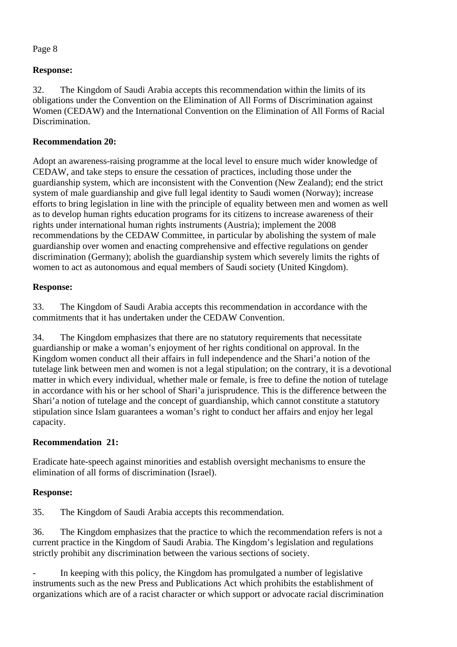# **Response:**

32. The Kingdom of Saudi Arabia accepts this recommendation within the limits of its obligations under the Convention on the Elimination of All Forms of Discrimination against Women (CEDAW) and the International Convention on the Elimination of All Forms of Racial Discrimination.

# **Recommendation 20:**

Adopt an awareness-raising programme at the local level to ensure much wider knowledge of CEDAW, and take steps to ensure the cessation of practices, including those under the guardianship system, which are inconsistent with the Convention (New Zealand); end the strict system of male guardianship and give full legal identity to Saudi women (Norway); increase efforts to bring legislation in line with the principle of equality between men and women as well as to develop human rights education programs for its citizens to increase awareness of their rights under international human rights instruments (Austria); implement the 2008 recommendations by the CEDAW Committee, in particular by abolishing the system of male guardianship over women and enacting comprehensive and effective regulations on gender discrimination (Germany); abolish the guardianship system which severely limits the rights of women to act as autonomous and equal members of Saudi society (United Kingdom).

# **Response:**

33. The Kingdom of Saudi Arabia accepts this recommendation in accordance with the commitments that it has undertaken under the CEDAW Convention.

34. The Kingdom emphasizes that there are no statutory requirements that necessitate guardianship or make a woman's enjoyment of her rights conditional on approval. In the Kingdom women conduct all their affairs in full independence and the Shari'a notion of the tutelage link between men and women is not a legal stipulation; on the contrary, it is a devotional matter in which every individual, whether male or female, is free to define the notion of tutelage in accordance with his or her school of Shari'a jurisprudence. This is the difference between the Shari'a notion of tutelage and the concept of guardianship, which cannot constitute a statutory stipulation since Islam guarantees a woman's right to conduct her affairs and enjoy her legal capacity.

# **Recommendation 21:**

Eradicate hate-speech against minorities and establish oversight mechanisms to ensure the elimination of all forms of discrimination (Israel).

## **Response:**

35. The Kingdom of Saudi Arabia accepts this recommendation.

36. The Kingdom emphasizes that the practice to which the recommendation refers is not a current practice in the Kingdom of Saudi Arabia. The Kingdom's legislation and regulations strictly prohibit any discrimination between the various sections of society.

In keeping with this policy, the Kingdom has promulgated a number of legislative instruments such as the new Press and Publications Act which prohibits the establishment of organizations which are of a racist character or which support or advocate racial discrimination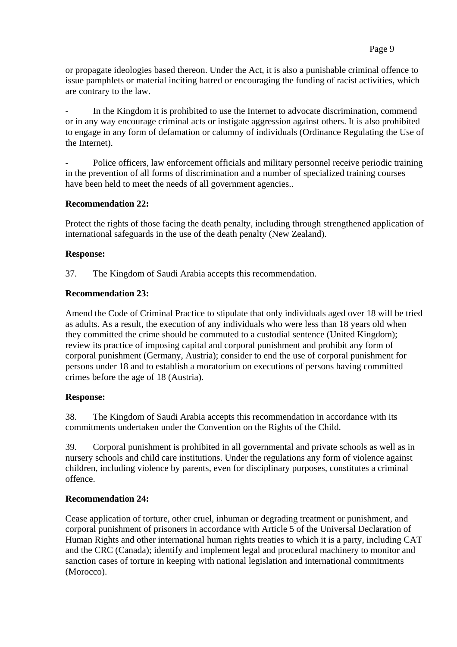or propagate ideologies based thereon. Under the Act, it is also a punishable criminal offence to issue pamphlets or material inciting hatred or encouraging the funding of racist activities, which are contrary to the law.

In the Kingdom it is prohibited to use the Internet to advocate discrimination, commend or in any way encourage criminal acts or instigate aggression against others. It is also prohibited to engage in any form of defamation or calumny of individuals (Ordinance Regulating the Use of the Internet).

Police officers, law enforcement officials and military personnel receive periodic training in the prevention of all forms of discrimination and a number of specialized training courses have been held to meet the needs of all government agencies..

### **Recommendation 22:**

Protect the rights of those facing the death penalty, including through strengthened application of international safeguards in the use of the death penalty (New Zealand).

### **Response:**

37. The Kingdom of Saudi Arabia accepts this recommendation.

### **Recommendation 23:**

Amend the Code of Criminal Practice to stipulate that only individuals aged over 18 will be tried as adults. As a result, the execution of any individuals who were less than 18 years old when they committed the crime should be commuted to a custodial sentence (United Kingdom); review its practice of imposing capital and corporal punishment and prohibit any form of corporal punishment (Germany, Austria); consider to end the use of corporal punishment for persons under 18 and to establish a moratorium on executions of persons having committed crimes before the age of 18 (Austria).

## **Response:**

38. The Kingdom of Saudi Arabia accepts this recommendation in accordance with its commitments undertaken under the Convention on the Rights of the Child.

39. Corporal punishment is prohibited in all governmental and private schools as well as in nursery schools and child care institutions. Under the regulations any form of violence against children, including violence by parents, even for disciplinary purposes, constitutes a criminal offence.

## **Recommendation 24:**

Cease application of torture, other cruel, inhuman or degrading treatment or punishment, and corporal punishment of prisoners in accordance with Article 5 of the Universal Declaration of Human Rights and other international human rights treaties to which it is a party, including CAT and the CRC (Canada); identify and implement legal and procedural machinery to monitor and sanction cases of torture in keeping with national legislation and international commitments (Morocco).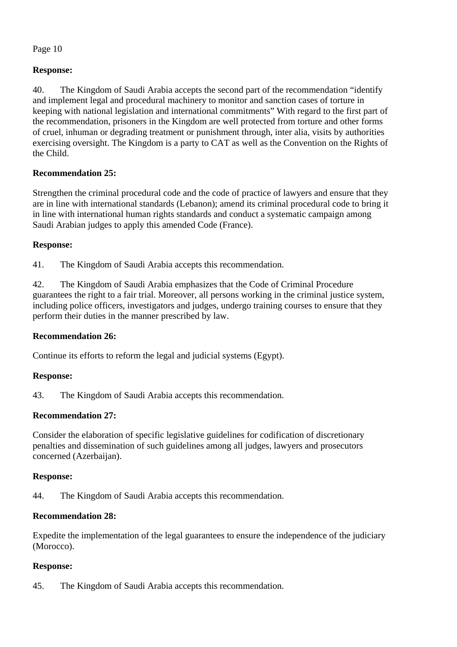# **Response:**

40. The Kingdom of Saudi Arabia accepts the second part of the recommendation "identify and implement legal and procedural machinery to monitor and sanction cases of torture in keeping with national legislation and international commitments" With regard to the first part of the recommendation, prisoners in the Kingdom are well protected from torture and other forms of cruel, inhuman or degrading treatment or punishment through, inter alia, visits by authorities exercising oversight. The Kingdom is a party to CAT as well as the Convention on the Rights of the Child.

## **Recommendation 25:**

Strengthen the criminal procedural code and the code of practice of lawyers and ensure that they are in line with international standards (Lebanon); amend its criminal procedural code to bring it in line with international human rights standards and conduct a systematic campaign among Saudi Arabian judges to apply this amended Code (France).

## **Response:**

41. The Kingdom of Saudi Arabia accepts this recommendation.

42. The Kingdom of Saudi Arabia emphasizes that the Code of Criminal Procedure guarantees the right to a fair trial. Moreover, all persons working in the criminal justice system, including police officers, investigators and judges, undergo training courses to ensure that they perform their duties in the manner prescribed by law.

## **Recommendation 26:**

Continue its efforts to reform the legal and judicial systems (Egypt).

## **Response:**

43. The Kingdom of Saudi Arabia accepts this recommendation.

# **Recommendation 27:**

Consider the elaboration of specific legislative guidelines for codification of discretionary penalties and dissemination of such guidelines among all judges, lawyers and prosecutors concerned (Azerbaijan).

## **Response:**

44. The Kingdom of Saudi Arabia accepts this recommendation.

# **Recommendation 28:**

Expedite the implementation of the legal guarantees to ensure the independence of the judiciary (Morocco).

# **Response:**

45. The Kingdom of Saudi Arabia accepts this recommendation.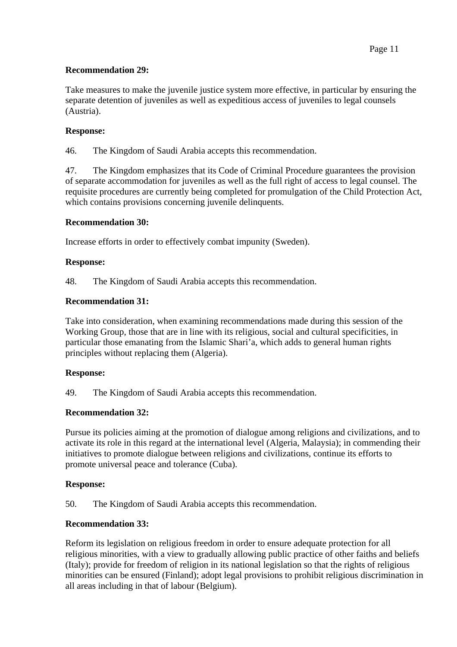# **Recommendation 29:**

Take measures to make the juvenile justice system more effective, in particular by ensuring the separate detention of juveniles as well as expeditious access of juveniles to legal counsels (Austria).

# **Response:**

46. The Kingdom of Saudi Arabia accepts this recommendation.

47. The Kingdom emphasizes that its Code of Criminal Procedure guarantees the provision of separate accommodation for juveniles as well as the full right of access to legal counsel. The requisite procedures are currently being completed for promulgation of the Child Protection Act, which contains provisions concerning juvenile delinquents.

## **Recommendation 30:**

Increase efforts in order to effectively combat impunity (Sweden).

# **Response:**

48. The Kingdom of Saudi Arabia accepts this recommendation.

# **Recommendation 31:**

Take into consideration, when examining recommendations made during this session of the Working Group, those that are in line with its religious, social and cultural specificities, in particular those emanating from the Islamic Shari'a, which adds to general human rights principles without replacing them (Algeria).

## **Response:**

49. The Kingdom of Saudi Arabia accepts this recommendation.

## **Recommendation 32:**

Pursue its policies aiming at the promotion of dialogue among religions and civilizations, and to activate its role in this regard at the international level (Algeria, Malaysia); in commending their initiatives to promote dialogue between religions and civilizations, continue its efforts to promote universal peace and tolerance (Cuba).

# **Response:**

50. The Kingdom of Saudi Arabia accepts this recommendation.

## **Recommendation 33:**

Reform its legislation on religious freedom in order to ensure adequate protection for all religious minorities, with a view to gradually allowing public practice of other faiths and beliefs (Italy); provide for freedom of religion in its national legislation so that the rights of religious minorities can be ensured (Finland); adopt legal provisions to prohibit religious discrimination in all areas including in that of labour (Belgium).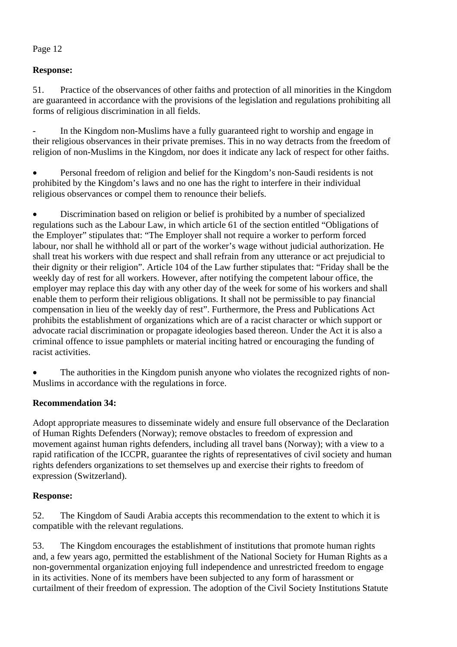# **Response:**

51. Practice of the observances of other faiths and protection of all minorities in the Kingdom are guaranteed in accordance with the provisions of the legislation and regulations prohibiting all forms of religious discrimination in all fields.

In the Kingdom non-Muslims have a fully guaranteed right to worship and engage in their religious observances in their private premises. This in no way detracts from the freedom of religion of non-Muslims in the Kingdom, nor does it indicate any lack of respect for other faiths.

• Personal freedom of religion and belief for the Kingdom's non-Saudi residents is not prohibited by the Kingdom's laws and no one has the right to interfere in their individual religious observances or compel them to renounce their beliefs.

• Discrimination based on religion or belief is prohibited by a number of specialized regulations such as the Labour Law, in which article 61 of the section entitled "Obligations of the Employer" stipulates that: "The Employer shall not require a worker to perform forced labour, nor shall he withhold all or part of the worker's wage without judicial authorization. He shall treat his workers with due respect and shall refrain from any utterance or act prejudicial to their dignity or their religion". Article 104 of the Law further stipulates that: "Friday shall be the weekly day of rest for all workers. However, after notifying the competent labour office, the employer may replace this day with any other day of the week for some of his workers and shall enable them to perform their religious obligations. It shall not be permissible to pay financial compensation in lieu of the weekly day of rest". Furthermore, the Press and Publications Act prohibits the establishment of organizations which are of a racist character or which support or advocate racial discrimination or propagate ideologies based thereon. Under the Act it is also a criminal offence to issue pamphlets or material inciting hatred or encouraging the funding of racist activities.

The authorities in the Kingdom punish anyone who violates the recognized rights of non-Muslims in accordance with the regulations in force.

## **Recommendation 34:**

Adopt appropriate measures to disseminate widely and ensure full observance of the Declaration of Human Rights Defenders (Norway); remove obstacles to freedom of expression and movement against human rights defenders, including all travel bans (Norway); with a view to a rapid ratification of the ICCPR, guarantee the rights of representatives of civil society and human rights defenders organizations to set themselves up and exercise their rights to freedom of expression (Switzerland).

## **Response:**

52. The Kingdom of Saudi Arabia accepts this recommendation to the extent to which it is compatible with the relevant regulations.

53. The Kingdom encourages the establishment of institutions that promote human rights and, a few years ago, permitted the establishment of the National Society for Human Rights as a non-governmental organization enjoying full independence and unrestricted freedom to engage in its activities. None of its members have been subjected to any form of harassment or curtailment of their freedom of expression. The adoption of the Civil Society Institutions Statute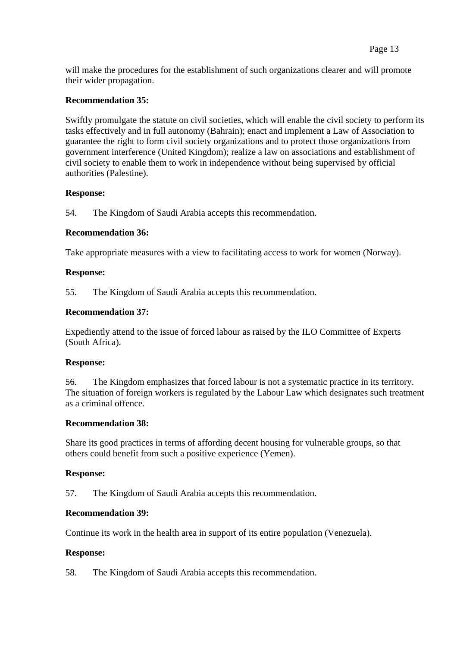will make the procedures for the establishment of such organizations clearer and will promote their wider propagation.

### **Recommendation 35:**

Swiftly promulgate the statute on civil societies, which will enable the civil society to perform its tasks effectively and in full autonomy (Bahrain); enact and implement a Law of Association to guarantee the right to form civil society organizations and to protect those organizations from government interference (United Kingdom); realize a law on associations and establishment of civil society to enable them to work in independence without being supervised by official authorities (Palestine).

### **Response:**

54. The Kingdom of Saudi Arabia accepts this recommendation.

### **Recommendation 36:**

Take appropriate measures with a view to facilitating access to work for women (Norway).

### **Response:**

55. The Kingdom of Saudi Arabia accepts this recommendation.

### **Recommendation 37:**

Expediently attend to the issue of forced labour as raised by the ILO Committee of Experts (South Africa).

### **Response:**

56. The Kingdom emphasizes that forced labour is not a systematic practice in its territory. The situation of foreign workers is regulated by the Labour Law which designates such treatment as a criminal offence.

### **Recommendation 38:**

Share its good practices in terms of affording decent housing for vulnerable groups, so that others could benefit from such a positive experience (Yemen).

### **Response:**

57. The Kingdom of Saudi Arabia accepts this recommendation.

### **Recommendation 39:**

Continue its work in the health area in support of its entire population (Venezuela).

### **Response:**

58. The Kingdom of Saudi Arabia accepts this recommendation.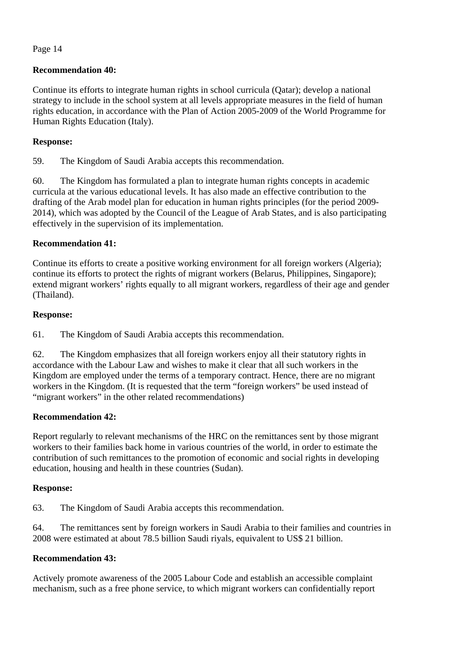## **Recommendation 40:**

Continue its efforts to integrate human rights in school curricula (Qatar); develop a national strategy to include in the school system at all levels appropriate measures in the field of human rights education, in accordance with the Plan of Action 2005-2009 of the World Programme for Human Rights Education (Italy).

### **Response:**

59. The Kingdom of Saudi Arabia accepts this recommendation.

60. The Kingdom has formulated a plan to integrate human rights concepts in academic curricula at the various educational levels. It has also made an effective contribution to the drafting of the Arab model plan for education in human rights principles (for the period 2009- 2014), which was adopted by the Council of the League of Arab States, and is also participating effectively in the supervision of its implementation.

### **Recommendation 41:**

Continue its efforts to create a positive working environment for all foreign workers (Algeria); continue its efforts to protect the rights of migrant workers (Belarus, Philippines, Singapore); extend migrant workers' rights equally to all migrant workers, regardless of their age and gender (Thailand).

### **Response:**

61. The Kingdom of Saudi Arabia accepts this recommendation.

62. The Kingdom emphasizes that all foreign workers enjoy all their statutory rights in accordance with the Labour Law and wishes to make it clear that all such workers in the Kingdom are employed under the terms of a temporary contract. Hence, there are no migrant workers in the Kingdom. (It is requested that the term "foreign workers" be used instead of "migrant workers" in the other related recommendations)

## **Recommendation 42:**

Report regularly to relevant mechanisms of the HRC on the remittances sent by those migrant workers to their families back home in various countries of the world, in order to estimate the contribution of such remittances to the promotion of economic and social rights in developing education, housing and health in these countries (Sudan).

### **Response:**

63. The Kingdom of Saudi Arabia accepts this recommendation.

64. The remittances sent by foreign workers in Saudi Arabia to their families and countries in 2008 were estimated at about 78.5 billion Saudi riyals, equivalent to US\$ 21 billion.

# **Recommendation 43:**

Actively promote awareness of the 2005 Labour Code and establish an accessible complaint mechanism, such as a free phone service, to which migrant workers can confidentially report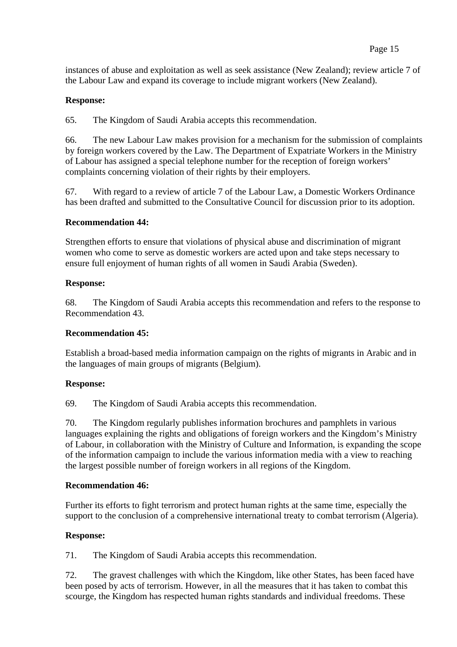instances of abuse and exploitation as well as seek assistance (New Zealand); review article 7 of the Labour Law and expand its coverage to include migrant workers (New Zealand).

## **Response:**

65. The Kingdom of Saudi Arabia accepts this recommendation.

66. The new Labour Law makes provision for a mechanism for the submission of complaints by foreign workers covered by the Law. The Department of Expatriate Workers in the Ministry of Labour has assigned a special telephone number for the reception of foreign workers' complaints concerning violation of their rights by their employers.

67. With regard to a review of article 7 of the Labour Law, a Domestic Workers Ordinance has been drafted and submitted to the Consultative Council for discussion prior to its adoption.

## **Recommendation 44:**

Strengthen efforts to ensure that violations of physical abuse and discrimination of migrant women who come to serve as domestic workers are acted upon and take steps necessary to ensure full enjoyment of human rights of all women in Saudi Arabia (Sweden).

### **Response:**

68. The Kingdom of Saudi Arabia accepts this recommendation and refers to the response to Recommendation 43.

## **Recommendation 45:**

Establish a broad-based media information campaign on the rights of migrants in Arabic and in the languages of main groups of migrants (Belgium).

## **Response:**

69. The Kingdom of Saudi Arabia accepts this recommendation.

70. The Kingdom regularly publishes information brochures and pamphlets in various languages explaining the rights and obligations of foreign workers and the Kingdom's Ministry of Labour, in collaboration with the Ministry of Culture and Information, is expanding the scope of the information campaign to include the various information media with a view to reaching the largest possible number of foreign workers in all regions of the Kingdom.

### **Recommendation 46:**

Further its efforts to fight terrorism and protect human rights at the same time, especially the support to the conclusion of a comprehensive international treaty to combat terrorism (Algeria).

## **Response:**

71. The Kingdom of Saudi Arabia accepts this recommendation.

72. The gravest challenges with which the Kingdom, like other States, has been faced have been posed by acts of terrorism. However, in all the measures that it has taken to combat this scourge, the Kingdom has respected human rights standards and individual freedoms. These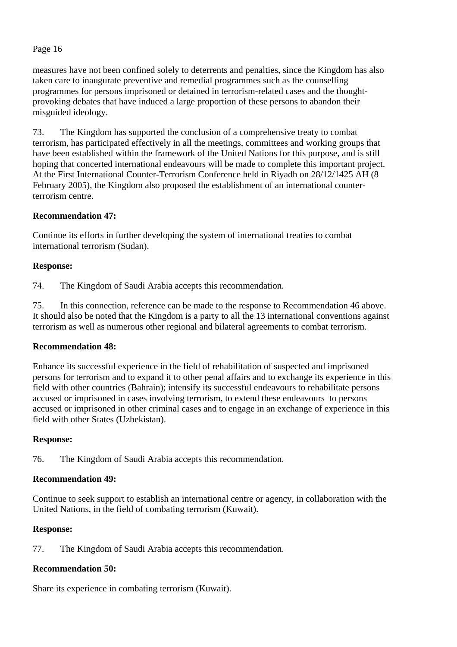measures have not been confined solely to deterrents and penalties, since the Kingdom has also taken care to inaugurate preventive and remedial programmes such as the counselling programmes for persons imprisoned or detained in terrorism-related cases and the thoughtprovoking debates that have induced a large proportion of these persons to abandon their misguided ideology.

73. The Kingdom has supported the conclusion of a comprehensive treaty to combat terrorism, has participated effectively in all the meetings, committees and working groups that have been established within the framework of the United Nations for this purpose, and is still hoping that concerted international endeavours will be made to complete this important project. At the First International Counter-Terrorism Conference held in Riyadh on 28/12/1425 AH (8 February 2005), the Kingdom also proposed the establishment of an international counterterrorism centre.

## **Recommendation 47:**

Continue its efforts in further developing the system of international treaties to combat international terrorism (Sudan).

### **Response:**

74. The Kingdom of Saudi Arabia accepts this recommendation.

75. In this connection, reference can be made to the response to Recommendation 46 above. It should also be noted that the Kingdom is a party to all the 13 international conventions against terrorism as well as numerous other regional and bilateral agreements to combat terrorism.

### **Recommendation 48:**

Enhance its successful experience in the field of rehabilitation of suspected and imprisoned persons for terrorism and to expand it to other penal affairs and to exchange its experience in this field with other countries (Bahrain); intensify its successful endeavours to rehabilitate persons accused or imprisoned in cases involving terrorism, to extend these endeavours to persons accused or imprisoned in other criminal cases and to engage in an exchange of experience in this field with other States (Uzbekistan).

### **Response:**

76. The Kingdom of Saudi Arabia accepts this recommendation.

### **Recommendation 49:**

Continue to seek support to establish an international centre or agency, in collaboration with the United Nations, in the field of combating terrorism (Kuwait).

### **Response:**

77. The Kingdom of Saudi Arabia accepts this recommendation.

## **Recommendation 50:**

Share its experience in combating terrorism (Kuwait).